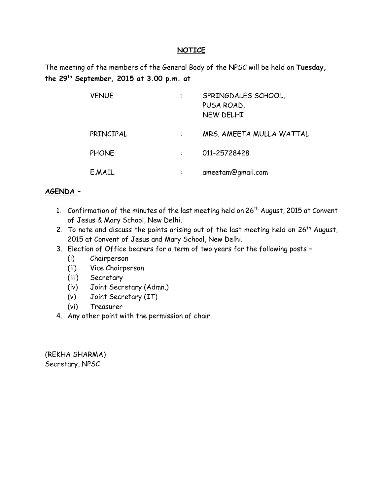#### **NOTICE**

The meeting of the members of the General Body of the NPSC will be held on **Tuesday, the 29th September, 2015 at 3.00 p.m. at** 

| <b>VENUE</b> |           | SPRINGDALES SCHOOL,<br>PUSA ROAD,<br>NEW DELHI |
|--------------|-----------|------------------------------------------------|
| PRINCIPAL    |           | MRS. AMEETA MULLA WATTAL                       |
| <b>PHONE</b> |           | 011-25728428                                   |
| E.MAIL       | $\bullet$ | ameetam@gmail.com                              |

#### **AGENDA** –

- 1. Confirmation of the minutes of the last meeting held on  $26<sup>th</sup>$  August, 2015 at Convent of Jesus & Mary School, New Delhi.
- 2. To note and discuss the points arising out of the last meeting held on  $26<sup>th</sup>$  August, 2015 at Convent of Jesus and Mary School, New Delhi.
- 3. Election of Office bearers for a term of two years for the following posts
	- (i) Chairperson
	- (ii) Vice Chairperson
	- (iii) Secretary
	- (iv) Joint Secretary (Admn.)
	- (v) Joint Secretary (IT)
	- (vi) Treasurer
- 4. Any other point with the permission of chair.

(REKHA SHARMA) Secretary, NPSC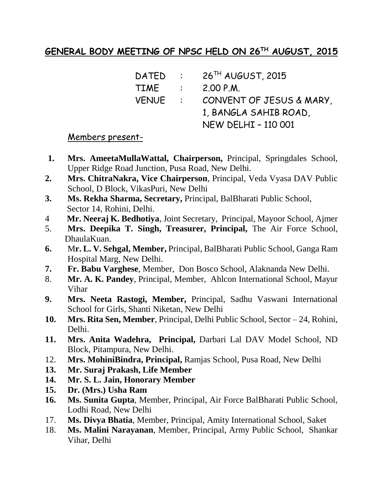# **GENERAL BODY MEETING OF NPSC HELD ON 26TH AUGUST, 2015**

| DATED   | $\sim 100$               | 26 <sup>TH</sup> AUGUST, 2015 |
|---------|--------------------------|-------------------------------|
| TIME    | $\sim 1000$ km s $^{-1}$ | 2.00 P.M.                     |
| VENUE : |                          | CONVENT OF JESUS & MARY,      |
|         |                          | 1, BANGLA SAHIB ROAD,         |
|         |                          | <b>NEW DELHI - 110 001</b>    |

#### Members present-

- **1. Mrs. AmeetaMullaWattal, Chairperson,** Principal, Springdales School, Upper Ridge Road Junction, Pusa Road, New Delhi.
- **2. Mrs. ChitraNakra, Vice Chairperson**, Principal, Veda Vyasa DAV Public School, D Block, VikasPuri, New Delhi
- **3. Ms. Rekha Sharma, Secretary,** Principal, BalBharati Public School, Sector 14, Rohini, Delhi.
- 4 **Mr. Neeraj K. Bedhotiya**, Joint Secretary, Principal, Mayoor School, Ajmer
- 5. **Mrs. Deepika T. Singh, Treasurer, Principal,** The Air Force School, DhaulaKuan.
- **6.** M**r. L. V. Sehgal, Member,** Principal, BalBharati Public School, Ganga Ram Hospital Marg, New Delhi.
- **7. Fr. Babu Varghese**, Member, Don Bosco School, Alaknanda New Delhi.
- 8. **Mr. A. K. Pandey**, Principal, Member, Ahlcon International School, Mayur Vihar
- **9. Mrs. Neeta Rastogi, Member,** Principal, Sadhu Vaswani International School for Girls, Shanti Niketan, New Delhi
- **10. Mrs. Rita Sen, Member**, Principal, Delhi Public School, Sector 24, Rohini, Delhi.
- **11. Mrs. Anita Wadehra, Principal,** Darbari Lal DAV Model School, ND Block, Pitampura, New Delhi.
- 12. **Mrs. MohiniBindra, Principal,** Ramjas School, Pusa Road, New Delhi
- **13. Mr. Suraj Prakash, Life Member**
- **14. Mr. S. L. Jain, Honorary Member**
- **15. Dr. (Mrs.) Usha Ram**
- **16. Ms. Sunita Gupta**, Member, Principal, Air Force BalBharati Public School, Lodhi Road, New Delhi
- 17. **Ms. Divya Bhatia**, Member, Principal, Amity International School, Saket
- 18. **Ms. Malini Narayanan**, Member, Principal, Army Public School, Shankar Vihar, Delhi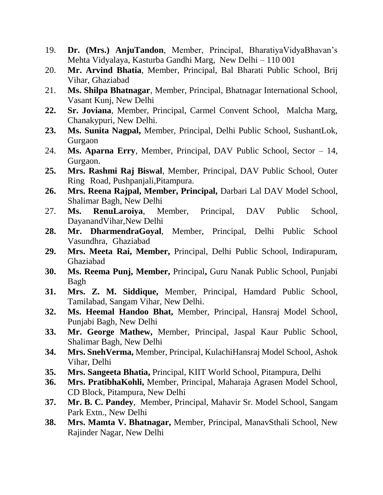- 19. **Dr. (Mrs.) AnjuTandon**, Member, Principal, BharatiyaVidyaBhavan's Mehta Vidyalaya, Kasturba Gandhi Marg, New Delhi – 110 001
- 20. **Mr. Arvind Bhatia**, Member, Principal, Bal Bharati Public School, Brij Vihar, Ghaziabad
- 21. **Ms. Shilpa Bhatnagar**, Member, Principal, Bhatnagar International School, Vasant Kunj, New Delhi
- **22. Sr. Joviana**, Member, Principal, Carmel Convent School, Malcha Marg, Chanakypuri, New Delhi.
- **23. Ms. Sunita Nagpal,** Member, Principal, Delhi Public School, SushantLok, Gurgaon
- 24. **Ms. Aparna Erry**, Member, Principal, DAV Public School, Sector 14, Gurgaon.
- **25. Mrs. Rashmi Raj Biswal**, Member, Principal, DAV Public School, Outer Ring Road, Pushpanjali,Pitampura.
- **26. Mrs. Reena Rajpal, Member, Principal,** Darbari Lal DAV Model School, Shalimar Bagh, New Delhi
- 27. **Ms. RenuLaroiya**, Member, Principal, DAV Public School, DayanandVihar,New Delhi
- **28. Mr. DharmendraGoyal**, Member, Principal, Delhi Public School Vasundhra, Ghaziabad
- **29. Mrs. Meeta Rai, Member,** Principal, Delhi Public School, Indirapuram, Ghaziabad
- **30. Ms. Reema Punj, Member,** Principal**,** Guru Nanak Public School, Punjabi Bagh
- **31. Mrs. Z. M. Siddique,** Member, Principal, Hamdard Public School, Tamilabad, Sangam Vihar, New Delhi.
- **32. Ms. Heemal Handoo Bhat,** Member, Principal, Hansraj Model School, Punjabi Bagh, New Delhi
- **33. Mr. George Mathew,** Member, Principal, Jaspal Kaur Public School, Shalimar Bagh, New Delhi
- **34. Mrs. SnehVerma,** Member, Principal, KulachiHansraj Model School, Ashok Vihar, Delhi
- **35. Mrs. Sangeeta Bhatia,** Principal, KIIT World School, Pitampura, Delhi
- **36. Mrs. PratibhaKohli,** Member, Principal, Maharaja Agrasen Model School, CD Block, Pitampura, New Delhi
- **37. Mr. B. C. Pandey**, Member, Principal, Mahavir Sr. Model School, Sangam Park Extn., New Delhi
- **38. Mrs. Mamta V. Bhatnagar,** Member, Principal, ManavSthali School, New Rajinder Nagar, New Delhi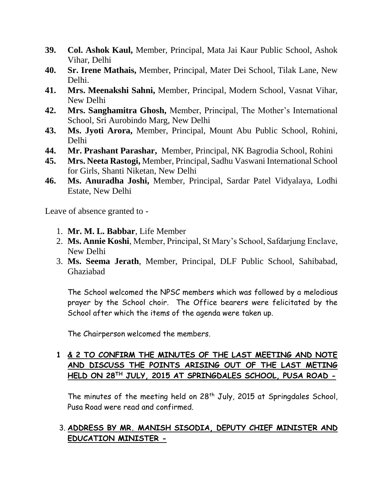- **39. Col. Ashok Kaul,** Member, Principal, Mata Jai Kaur Public School, Ashok Vihar, Delhi
- **40. Sr. Irene Mathais,** Member, Principal, Mater Dei School, Tilak Lane, New Delhi.
- **41. Mrs. Meenakshi Sahni,** Member, Principal, Modern School, Vasnat Vihar, New Delhi
- **42. Mrs. Sanghamitra Ghosh,** Member, Principal, The Mother's International School, Sri Aurobindo Marg, New Delhi
- **43. Ms. Jyoti Arora,** Member, Principal, Mount Abu Public School, Rohini, Delhi
- **44. Mr. Prashant Parashar,** Member, Principal, NK Bagrodia School, Rohini
- **45. Mrs. Neeta Rastogi,** Member, Principal, Sadhu Vaswani International School for Girls, Shanti Niketan, New Delhi
- **46. Ms. Anuradha Joshi,** Member, Principal, Sardar Patel Vidyalaya, Lodhi Estate, New Delhi

Leave of absence granted to -

- 1. **Mr. M. L. Babbar**, Life Member
- 2. **Ms. Annie Koshi**, Member, Principal, St Mary's School, Safdarjung Enclave, New Delhi
- 3. **Ms. Seema Jerath**, Member, Principal, DLF Public School, Sahibabad, Ghaziabad

The School welcomed the NPSC members which was followed by a melodious prayer by the School choir. The Office bearers were felicitated by the School after which the items of the agenda were taken up.

The Chairperson welcomed the members.

## **1 & 2 TO CONFIRM THE MINUTES OF THE LAST MEETING AND NOTE AND DISCUSS THE POINTS ARISING OUT OF THE LAST METING HELD ON 28TH JULY, 2015 AT SPRINGDALES SCHOOL, PUSA ROAD -**

The minutes of the meeting held on 28<sup>th</sup> July, 2015 at Springdales School, Pusa Road were read and confirmed.

### 3. **ADDRESS BY MR. MANISH SISODIA, DEPUTY CHIEF MINISTER AND EDUCATION MINISTER -**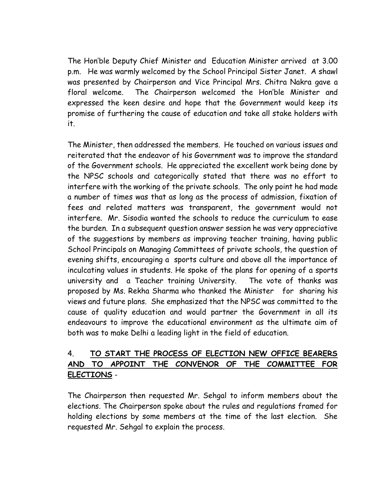The Hon'ble Deputy Chief Minister and Education Minister arrived at 3.00 p.m. He was warmly welcomed by the School Principal Sister Janet. A shawl was presented by Chairperson and Vice Principal Mrs. Chitra Nakra gave a floral welcome. The Chairperson welcomed the Hon'ble Minister and expressed the keen desire and hope that the Government would keep its promise of furthering the cause of education and take all stake holders with it.

The Minister, then addressed the members. He touched on various issues and reiterated that the endeavor of his Government was to improve the standard of the Government schools. He appreciated the excellent work being done by the NPSC schools and categorically stated that there was no effort to interfere with the working of the private schools. The only point he had made a number of times was that as long as the process of admission, fixation of fees and related matters was transparent, the government would not interfere. Mr. Sisodia wanted the schools to reduce the curriculum to ease the burden. In a subsequent question answer session he was very appreciative of the suggestions by members as improving teacher training, having public School Principals on Managing Committees of private schools, the question of evening shifts, encouraging a sports culture and above all the importance of inculcating values in students. He spoke of the plans for opening of a sports university and a Teacher training University. The vote of thanks was proposed by Ms. Rekha Sharma who thanked the Minister for sharing his views and future plans. She emphasized that the NPSC was committed to the cause of quality education and would partner the Government in all its endeavours to improve the educational environment as the ultimate aim of both was to make Delhi a leading light in the field of education.

## 4. **TO START THE PROCESS OF ELECTION NEW OFFICE BEARERS AND TO APPOINT THE CONVENOR OF THE COMMITTEE FOR ELECTIONS** -

The Chairperson then requested Mr. Sehgal to inform members about the elections. The Chairperson spoke about the rules and regulations framed for holding elections by some members at the time of the last election. She requested Mr. Sehgal to explain the process.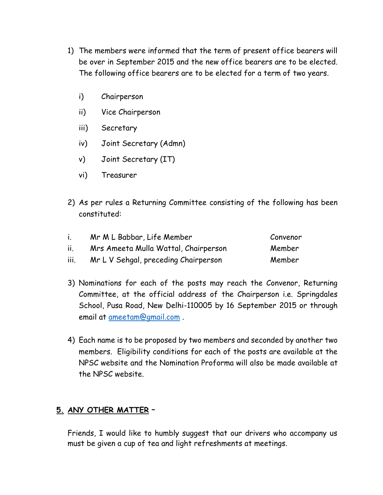- 1) The members were informed that the term of present office bearers will be over in September 2015 and the new office bearers are to be elected. The following office bearers are to be elected for a term of two years.
	- i) Chairperson
	- ii) Vice Chairperson
	- iii) Secretary
	- iv) Joint Secretary (Admn)
	- v) Joint Secretary (IT)
	- vi) Treasurer
- 2) As per rules a Returning Committee consisting of the following has been constituted:

| $\mathbf{L}$ | Mr M L Babbar, Life Member           | Convenor |
|--------------|--------------------------------------|----------|
| ii.          | Mrs Ameeta Mulla Wattal, Chairperson | Member   |
| iii.         | Mr L V Sehgal, preceding Chairperson | Member   |

- 3) Nominations for each of the posts may reach the Convenor, Returning Committee, at the official address of the Chairperson i.e. Springdales School, Pusa Road, New Delhi-110005 by 16 September 2015 or through email at [ameetam@gmail.com](mailto:ameetam@gmail.com) .
- 4) Each name is to be proposed by two members and seconded by another two members. Eligibility conditions for each of the posts are available at the NPSC website and the Nomination Proforma will also be made available at the NPSC website.

## **5. ANY OTHER MATTER** –

Friends, I would like to humbly suggest that our drivers who accompany us must be given a cup of tea and light refreshments at meetings.